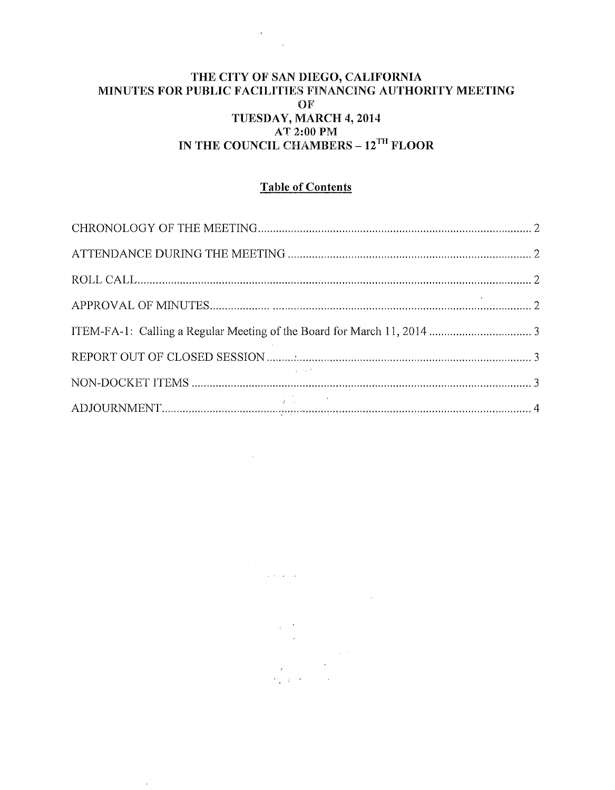# THE CITY OF SAN DIEGO, CALIFORNIA MINUTES FOR PUBLIC FACILITIES FINANCING AUTHORITY MEETING OF TUESDAY, MARCH 4, 2014  $\begin{array}{c}\n & \text{AT 2:00 PM} \\
 & \text{AT 2:00 PM} \\
\end{array}$  IN THE COUNCIL CHAMBERS –  $12^{TH}$  FLOOR

## **Table of Contents**

 $\hat{c}$  is a simple  $\label{eq:1} \frac{1}{\sqrt{2}}\int_0^1\frac{dx}{\sqrt{2\pi}}\,dx$  $\label{eq:2} \begin{split} \mathcal{R} & = \frac{1}{2} \mathcal{E} \mathcal{E} \mathcal{E} \mathcal{E} \mathcal{E} \mathcal{E} \mathcal{E} \mathcal{E} \mathcal{E} \mathcal{E} \mathcal{E} \mathcal{E} \mathcal{E} \mathcal{E} \mathcal{E} \mathcal{E} \mathcal{E} \mathcal{E} \mathcal{E} \mathcal{E} \mathcal{E} \mathcal{E} \mathcal{E} \mathcal{E} \mathcal{E} \mathcal{E} \mathcal{E} \mathcal{E} \mathcal{E} \mathcal{E} \mathcal{E} \mathcal{E} \$ 

 $\bar{z}$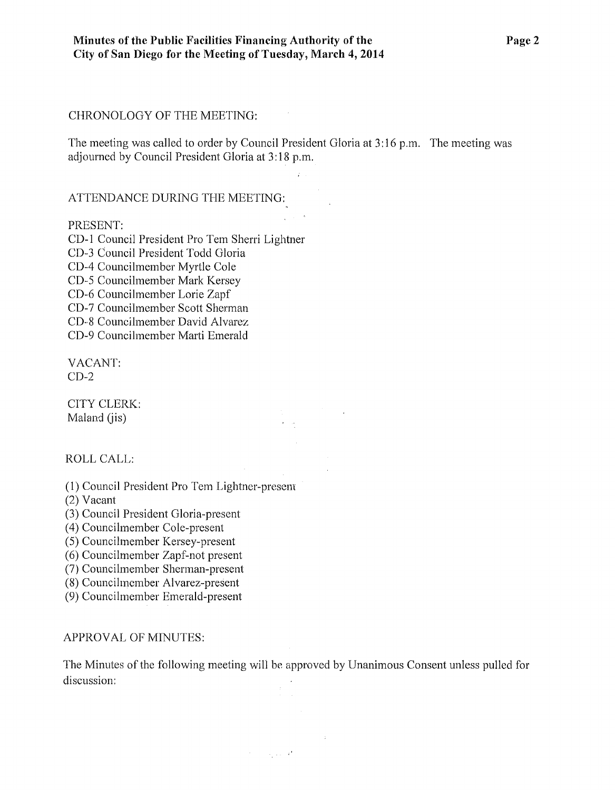#### CHRONOLOGY OF THE MEETING:

The meeting was called to order by Council President Gloria at 3:16 p.m. The meeting was adjourned by Council President Gloria at 3:18 p.m.

 $\mathcal{L}^{\mathcal{L}}$ 

#### ATTENDANCE DURING THE MEETING:

#### PRESENT:

CD-1 Council President Pro Tern Sherri Lightner CD-3 Council President Todd Gloria CD-4 Councilmember Myrtle Cole CD-5 Councilmember Mark Kersey CD-6 Councilmember Lorie Zapf CD-7 Councilmember Scott Shennan CD-,8 Councilmember David Alvarez CD-9 Councilmember Marti Emerald

VACANT:  $CD-2$ 

CITY CLERK: Maland (jis)

#### ROLL CALL:

(1) Council President Pro Tem Lightner-prescm

(2) Vacant

(3) Council President Gloria-present

( 4) Councilmember Cole-present

(5) Councihnember Kersey-present

(6) Councilmember Zapf-not present

(7) Councilmember Sherman-present

(8) Councilmcmber Alvarez-present

(9) Councilmember Emerald-present

#### APPROVAL OF MINUTES:

The Minutes of the following meeting will be approved by Unanimous Consent unless pulled for discussion:

 $\sigma_{\rm c}$  , where  $\sigma_{\rm c}$ 

 $\sim 10$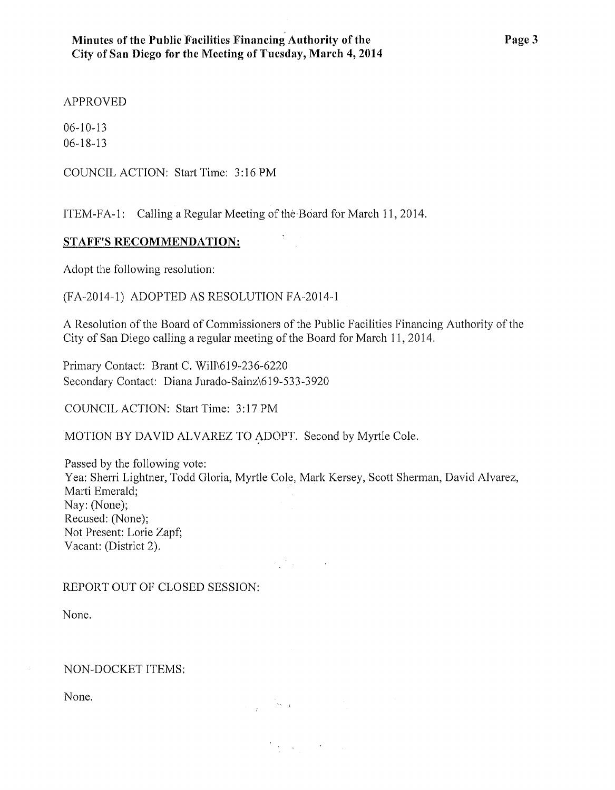## APPROVED

06-10-13 06-18-13

COUNCIL ACTION: Start Time: 3:16PM

ITEM-FA-1: Calling a Regular Meeting of the Board for March 11, 2014.

## **STAFF'S RECOMMENDATION:**

Adopt the following resolution:

(FA-2014-1) ADOPTED AS RESOLUTION FA-2014··1

A Resolution of the Board of Commissioners of the Public Facilities Financing Authority of the City of San Diego calling a regular meeting of the Board for March 11, 2014.

Primary Contact: Brant C. Will\619-236-6220 Secondary Contact: Diana Jurado-Sainz\619-533-3920

COUNCIL ACTION: Start Time: 3:17PM

MOTION BY DAVID ALVAREZ TO ADOPT. Second by Myrtle Cole.

Passed by the following vote: Yea: Sherri Lightner, Todd Gloria, Myrtle Cole, Mark Kersey, Scott Sherman, David Alvarez, Marti Emerald; Nay: (None); Recused: (None); Not Present: Lorie Zapf; Vacant: (District 2).

 $\mathcal{L}_{\text{max}}^{\text{max}}$  , where  $\mathcal{L}_{\text{max}}$ 

 $\frac{1}{4}$  ,  $\frac{1}{2}$  ,  $\frac{1}{2}$  ,  $\frac{1}{2}$  ,  $\frac{1}{2}$ 

 $\label{eq:1} \frac{1}{2} \left( \frac{1}{2} \sum_{i=1}^n \frac{1}{2} \sum_{j=1}^n \frac{1}{2} \sum_{j=1}^n \frac{1}{2} \sum_{j=1}^n \frac{1}{2} \sum_{j=1}^n \frac{1}{2} \sum_{j=1}^n \frac{1}{2} \sum_{j=1}^n \frac{1}{2} \sum_{j=1}^n \frac{1}{2} \sum_{j=1}^n \frac{1}{2} \sum_{j=1}^n \frac{1}{2} \sum_{j=1}^n \frac{1}{2} \sum_{j=1}^n \frac{1}{2} \sum_{j$ 

## REPORT OUT OF CLOSED SESSION:

None.

### NON-DOCKET ITEMS:

None.